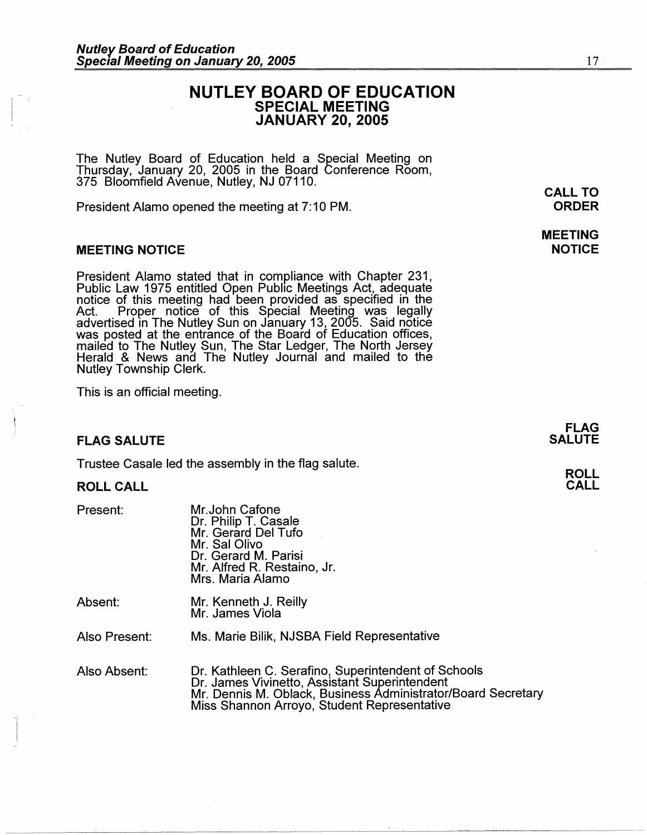# **NUTLEY BOARD OF EDUCATION SPECIAL MEETING JANUARY 20, 2005**

The Nutley Board of Education held a Special Meeting on Thursday, January 20, 2005 in the Board Conference Room, 375 Bloomfield Avenue, Nutley, NJ 07110.

President Alamo opened the meeting at 7:10 PM.

### **MEETING NOTICE**

President Alamo stated that in compliance with Chapter 231, Public Law 1975 entitled Open Public Meetings Act, adequate notice of this meeting had been provided as specified in the Act. Proper notice of this Special Meeting was legally advertised in The Nutley Sun on January 13, 2005. Said notice was posted at the entrance of the Board of Education offices, mailed to The Nutley Sun, The Star Ledger, The North Jersey Herald & News and The Nutley Journal and mailed to the Nutley Township Clerk.

This is an official meeting.

### **FLAG SALUTE**

Trustee Casale led the assembly in the flag salute.

#### **ROLL CALL**

Present:

Mr.John Catone Dr. Philip T. Casale Mr. Gerard Del Tufo Mr. Sal Olivo Dr. Gerard M. Parisi Mr. Alfred R. Restaino, Jr. Mrs. Maria Alamo

Absent: Mr. Kenneth J. Reilly Mr. James Viola

Also Present: Ms. Marie Bilik, NJSBA Field Representative

Also Absent: Dr. Kathleen C. Serafino, Superintendent of Schools Dr. James Vivinetto, Assistant Superintendent Mr. Dennis M. Oblack, Business Administrator/Board Secretary Miss Shannon Arroyo, Student Representative

**ORDER** 

17

**MEETING NOTICE** 

**ROLL CALL**